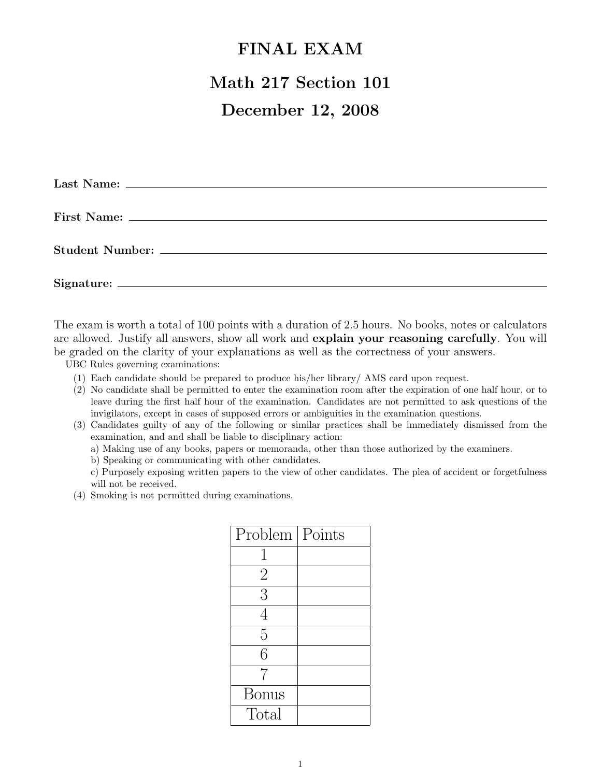## FINAL EXAM

# Math 217 Section 101

## December 12, 2008

The exam is worth a total of 100 points with a duration of 2.5 hours. No books, notes or calculators are allowed. Justify all answers, show all work and **explain your reasoning carefully**. You will be graded on the clarity of your explanations as well as the correctness of your answers.

UBC Rules governing examinations:

- (1) Each candidate should be prepared to produce his/her library/ AMS card upon request.
- (2) No candidate shall be permitted to enter the examination room after the expiration of one half hour, or to leave during the first half hour of the examination. Candidates are not permitted to ask questions of the invigilators, except in cases of supposed errors or ambiguities in the examination questions.
- (3) Candidates guilty of any of the following or similar practices shall be immediately dismissed from the examination, and and shall be liable to disciplinary action:
	- a) Making use of any books, papers or memoranda, other than those authorized by the examiners.
	- b) Speaking or communicating with other candidates.
	- c) Purposely exposing written papers to the view of other candidates. The plea of accident or forgetfulness will not be received.
- (4) Smoking is not permitted during examinations.

| Problem        | Points |
|----------------|--------|
|                |        |
| $\overline{2}$ |        |
| 3              |        |
| 4              |        |
| 5              |        |
| 6              |        |
| 7              |        |
| <b>Bonus</b>   |        |
| Total          |        |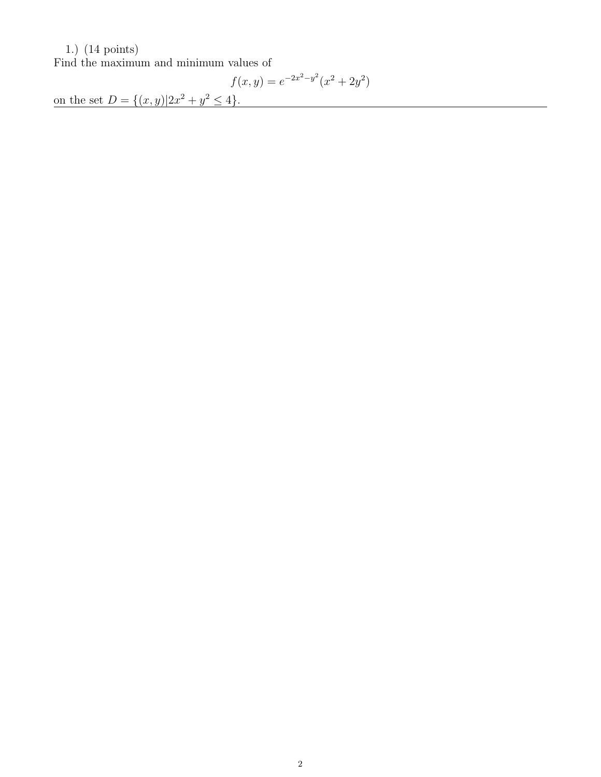#### 1.) (14 points)

Find the maximum and minimum values of

$$
f(x,y) = e^{-2x^2 - y^2}(x^2 + 2y^2)
$$

on the set  $D = \{(x, y)|2x^2 + y^2 \le 4\}.$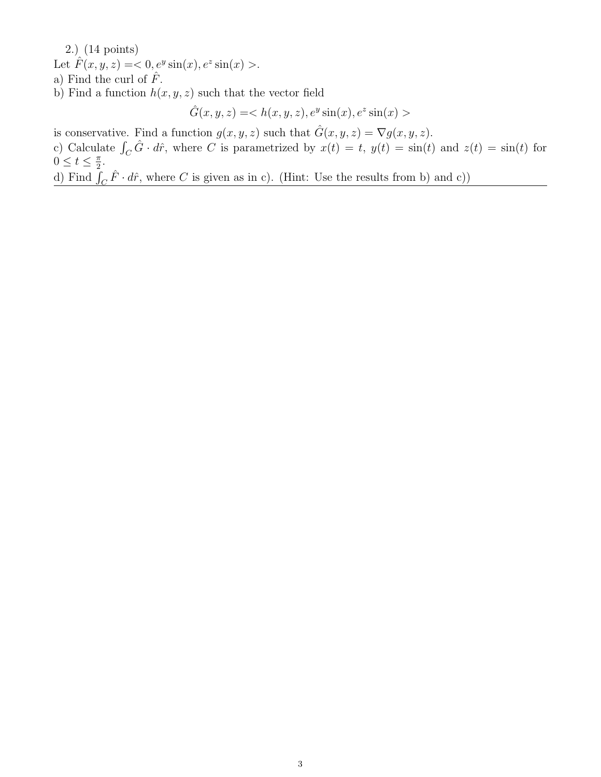2.) (14 points) Let  $\hat{F}(x, y, z) = <0, e^y \sin(x), e^z \sin(x) >$ . a) Find the curl of  $\hat{F}$ .

b) Find a function  $h(x, y, z)$  such that the vector field

 $\hat{G}(x, y, z) =$ 

is conservative. Find a function  $g(x, y, z)$  such that  $\hat{G}(x, y, z) = \nabla g(x, y, z)$ .

c) Calculate  $\int_C \hat{G} \cdot d\hat{r}$ , where C is parametrized by  $x(t) = t$ ,  $y(t) = \sin(t)$  and  $z(t) = \sin(t)$  for  $0 \leq t \leq \frac{\pi}{2}$  $\frac{\pi}{2}$ .

d) Find  $\bar{f}_C \hat{F} \cdot d\hat{r}$ , where C is given as in c). (Hint: Use the results from b) and c))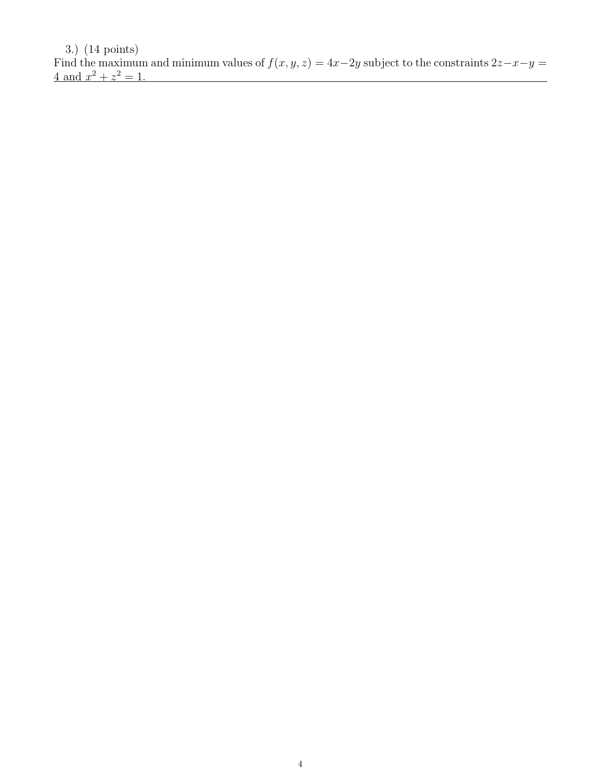3.) (14 points) Find the maximum and minimum values of  $f(x, y, z) = 4x-2y$  subject to the constraints  $2z-x-y =$  $4 \text{ and } x^2 + z^2 = 1.$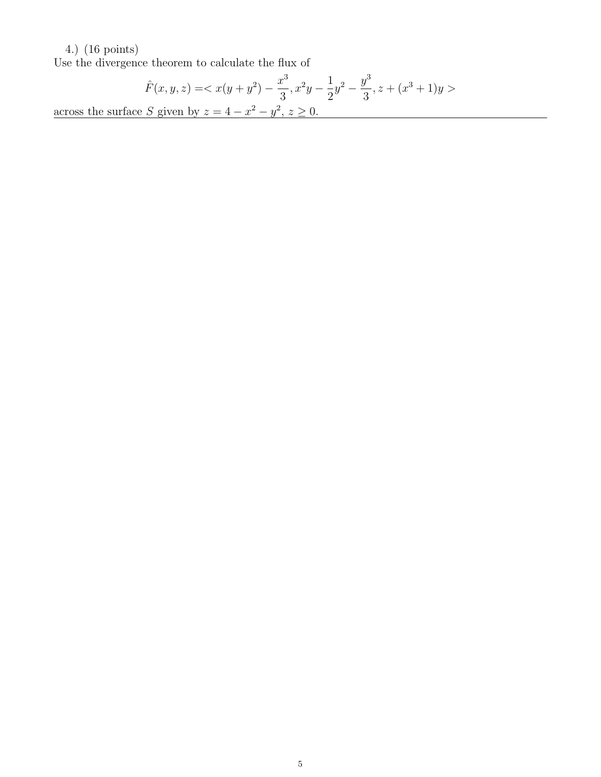### 4.) (16 points)

Use the divergence theorem to calculate the flux of

$$
\hat{F}(x, y, z) = \langle x(y + y^2) - \frac{x^3}{3}, x^2y - \frac{1}{2}y^2 - \frac{y^3}{3}, z + (x^3 + 1)y \rangle
$$
  
across the surface S given by  $z = 4 - x^2 - y^2, z \ge 0$ .

5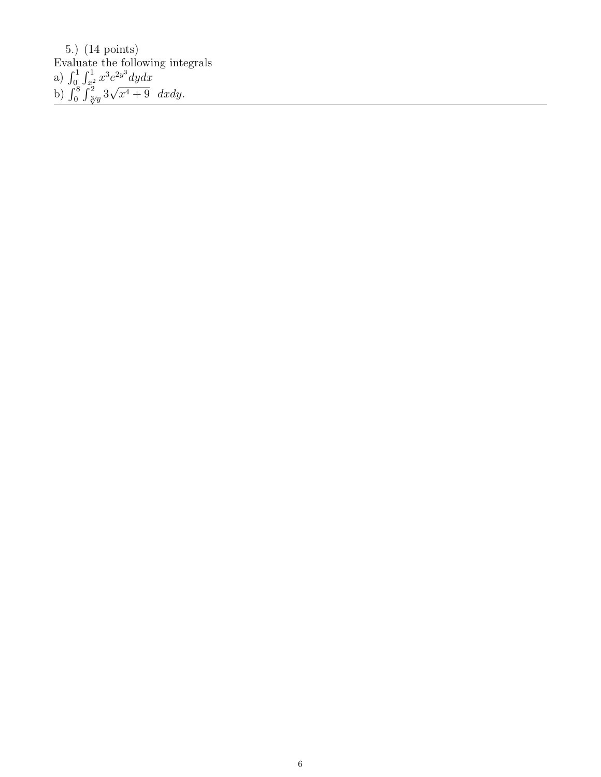5.) (14 points) Evaluate the following integrals a)  $\int_0^1 \int_{x^2}^1 x^3 e^{2y^3} dy dx$ b)  $\int_0^8 \int_{\sqrt[3]{y}}^2 3$ √  $\overline{x^4+9}$  dxdy.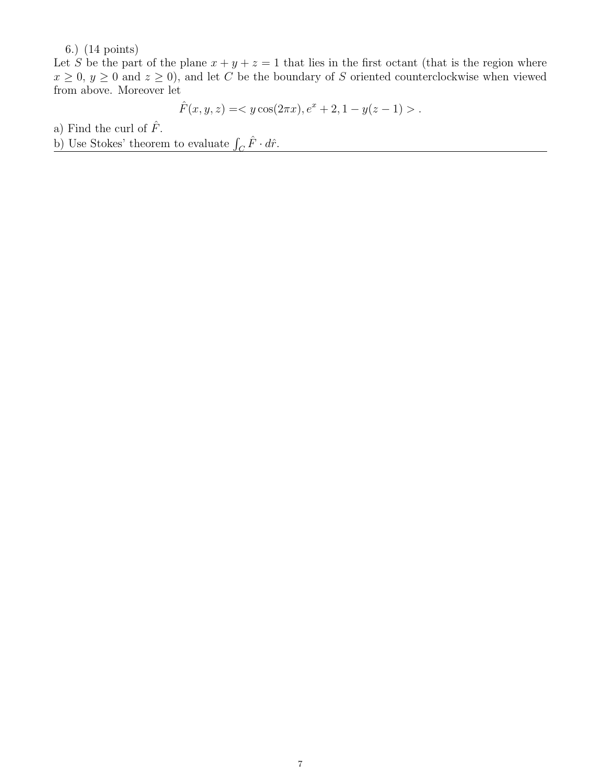6.) (14 points)

Let S be the part of the plane  $x + y + z = 1$  that lies in the first octant (that is the region where  $x \geq 0$ ,  $y \geq 0$  and  $z \geq 0$ ), and let C be the boundary of S oriented counterclockwise when viewed from above. Moreover let

$$
\hat{F}(x, y, z) = \langle y \cos(2\pi x), e^x + 2, 1 - y(z - 1) \rangle.
$$

a) Find the curl of  $\hat{F}$ .

b) Use Stokes' theorem to evaluate  $\int_C \hat{F} \cdot d\hat{r}$ .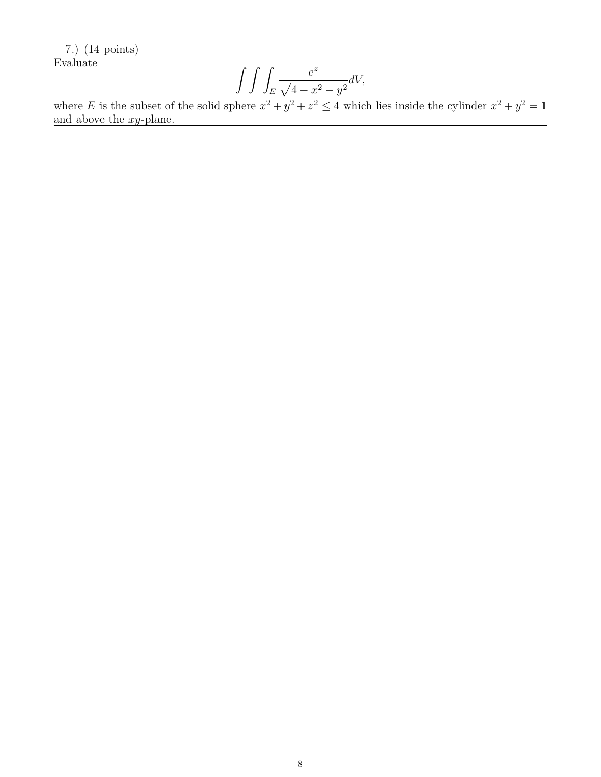7.) (14 points) Evaluate

$$
\int \int \int_E \frac{e^z}{\sqrt{4 - x^2 - y^2}} dV,
$$

where E is the subset of the solid sphere  $x^2 + y^2 + z^2 \le 4$  which lies inside the cylinder  $x^2 + y^2 = 1$ and above the xy-plane.